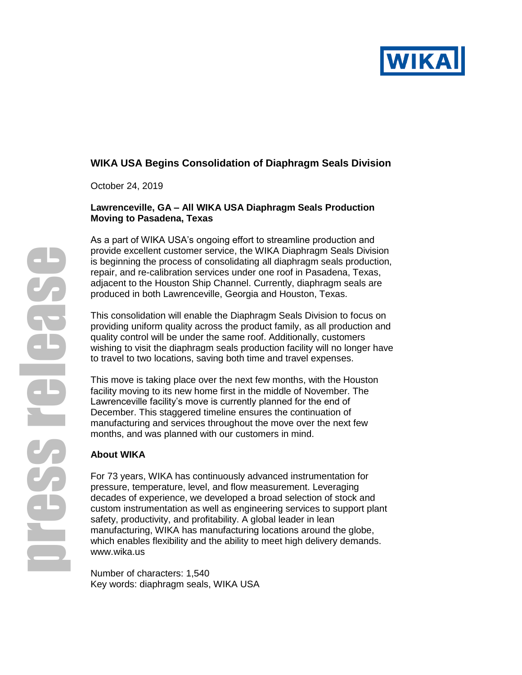

# **WIKA USA Begins Consolidation of Diaphragm Seals Division**

October 24, 2019

### **Lawrenceville, GA – All WIKA USA Diaphragm Seals Production Moving to Pasadena, Texas**

As a part of WIKA USA's ongoing effort to streamline production and provide excellent customer service, the WIKA Diaphragm Seals Division is beginning the process of consolidating all diaphragm seals production, repair, and re-calibration services under one roof in Pasadena, Texas, adjacent to the Houston Ship Channel. Currently, diaphragm seals are produced in both Lawrenceville, Georgia and Houston, Texas.

This consolidation will enable the Diaphragm Seals Division to focus on providing uniform quality across the product family, as all production and quality control will be under the same roof. Additionally, customers wishing to visit the diaphragm seals production facility will no longer have to travel to two locations, saving both time and travel expenses.

This move is taking place over the next few months, with the Houston facility moving to its new home first in the middle of November. The Lawrenceville facility's move is currently planned for the end of December. This staggered timeline ensures the continuation of manufacturing and services throughout the move over the next few months, and was planned with our customers in mind.

## **About WIKA**

For 73 years, WIKA has continuously advanced instrumentation for pressure, temperature, level, and flow measurement. Leveraging decades of experience, we developed a broad selection of stock and custom instrumentation as well as engineering services to support plant safety, productivity, and profitability. A global leader in lean manufacturing, WIKA has manufacturing locations around the globe, which enables flexibility and the ability to meet high delivery demands. [www.wika.us](http://www.wika.us/)

Number of characters: 1,540 Key words: diaphragm seals, WIKA USA